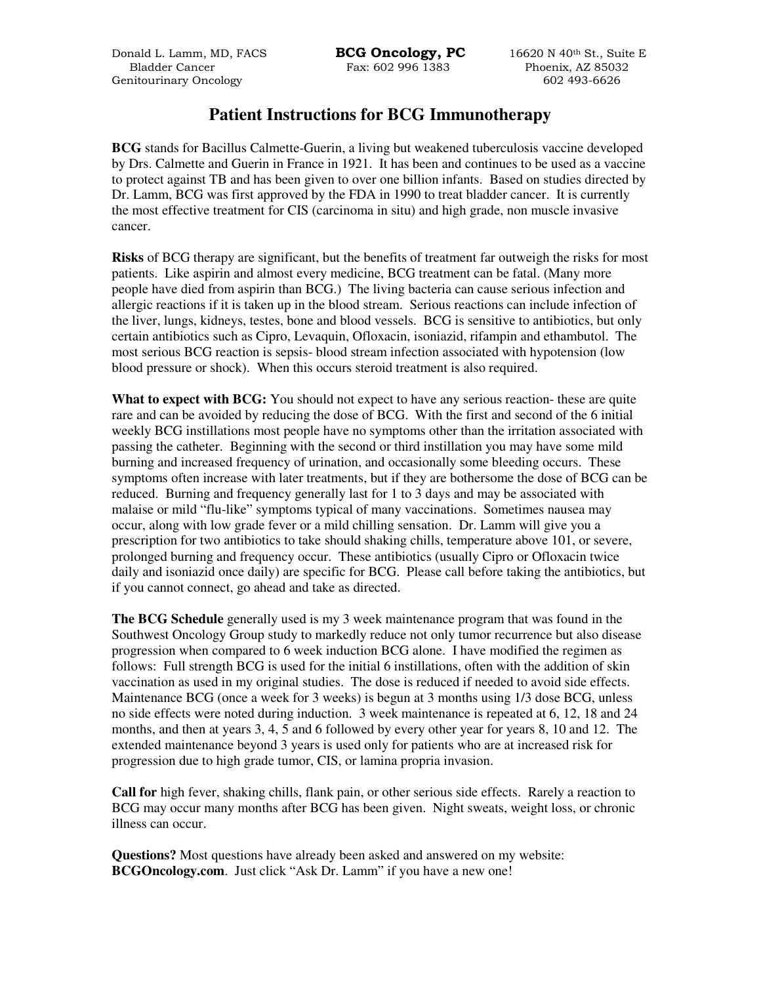Donald L. Lamm, MD, FACS **BCG Oncology, PC** 16620 N 40<sup>th</sup> St., Suite E Bladder Cancer Fax: 602 996 1383 Phoenix, AZ 85032 Genitourinary Oncology 602 493-6626

## **Patient Instructions for BCG Immunotherapy**

**BCG** stands for Bacillus Calmette-Guerin, a living but weakened tuberculosis vaccine developed by Drs. Calmette and Guerin in France in 1921. It has been and continues to be used as a vaccine to protect against TB and has been given to over one billion infants. Based on studies directed by Dr. Lamm, BCG was first approved by the FDA in 1990 to treat bladder cancer. It is currently the most effective treatment for CIS (carcinoma in situ) and high grade, non muscle invasive cancer.

**Risks** of BCG therapy are significant, but the benefits of treatment far outweigh the risks for most patients. Like aspirin and almost every medicine, BCG treatment can be fatal. (Many more people have died from aspirin than BCG.) The living bacteria can cause serious infection and allergic reactions if it is taken up in the blood stream. Serious reactions can include infection of the liver, lungs, kidneys, testes, bone and blood vessels. BCG is sensitive to antibiotics, but only certain antibiotics such as Cipro, Levaquin, Ofloxacin, isoniazid, rifampin and ethambutol. The most serious BCG reaction is sepsis- blood stream infection associated with hypotension (low blood pressure or shock). When this occurs steroid treatment is also required.

**What to expect with BCG:** You should not expect to have any serious reaction- these are quite rare and can be avoided by reducing the dose of BCG. With the first and second of the 6 initial weekly BCG instillations most people have no symptoms other than the irritation associated with passing the catheter. Beginning with the second or third instillation you may have some mild burning and increased frequency of urination, and occasionally some bleeding occurs. These symptoms often increase with later treatments, but if they are bothersome the dose of BCG can be reduced. Burning and frequency generally last for 1 to 3 days and may be associated with malaise or mild "flu-like" symptoms typical of many vaccinations. Sometimes nausea may occur, along with low grade fever or a mild chilling sensation. Dr. Lamm will give you a prescription for two antibiotics to take should shaking chills, temperature above 101, or severe, prolonged burning and frequency occur. These antibiotics (usually Cipro or Ofloxacin twice daily and isoniazid once daily) are specific for BCG. Please call before taking the antibiotics, but if you cannot connect, go ahead and take as directed.

**The BCG Schedule** generally used is my 3 week maintenance program that was found in the Southwest Oncology Group study to markedly reduce not only tumor recurrence but also disease progression when compared to 6 week induction BCG alone. I have modified the regimen as follows: Full strength BCG is used for the initial 6 instillations, often with the addition of skin vaccination as used in my original studies. The dose is reduced if needed to avoid side effects. Maintenance BCG (once a week for 3 weeks) is begun at 3 months using 1/3 dose BCG, unless no side effects were noted during induction. 3 week maintenance is repeated at 6, 12, 18 and 24 months, and then at years 3, 4, 5 and 6 followed by every other year for years 8, 10 and 12. The extended maintenance beyond 3 years is used only for patients who are at increased risk for progression due to high grade tumor, CIS, or lamina propria invasion.

**Call for** high fever, shaking chills, flank pain, or other serious side effects. Rarely a reaction to BCG may occur many months after BCG has been given. Night sweats, weight loss, or chronic illness can occur.

**Questions?** Most questions have already been asked and answered on my website: **BCGOncology.com.** Just click "Ask Dr. Lamm" if you have a new one!